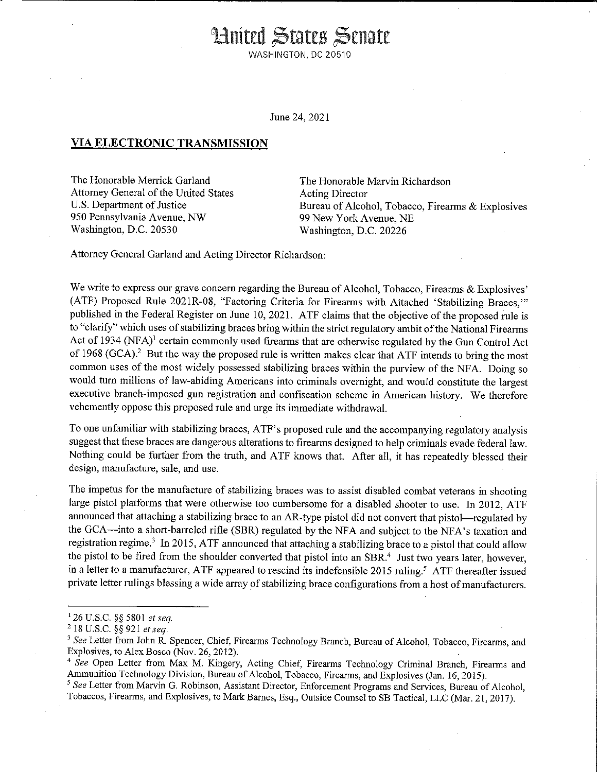**Hnited States Senate** WASHINGTON, DC 20510

June 24, 2021

## **VIA ELECTRONIC TRANSMISSION**

The Honorable Merrick Garland Attorney General of the United States U,S. Department of Justice 950 Pennsylvania Avenue, NW Washington, D.C. 20530

The Honorable Marvin Richardson Acting Director Bureau of Alcohol, Tobacco, Firearms & Explosives 99 New York Avenue, NE Washington, D.C. 20226

Attorney General Garland and Acting Director Richardson:

We write to express our grave concern regarding the Bureau of Alcohol, Tobacco, Firearms & Explosives' (ATF) Proposed Rule 2021R-08, "Factoring Criteria for Firearms with Attached 'Stabilizing Braces,"' published in the Federal Register on June 10, 2021. ATF claims that the objective of the proposed rule is to "clarify" which uses of stabilizing braces bring within the strict regulatory ambit of the National Firearms Act of 1934 (NFA)<sup>1</sup> certain commonly used firearms that are otherwise regulated by the Gun Control Act of 1968 (GCA).<sup>2</sup> But the way the proposed rule is written makes clear that ATF intends to bring the most common uses of the most widely possessed stabilizing braces within the purview of the NFA. Doing so would turn millions of law-abiding Americans into criminals overnight, and would constitute the largest executive branch-imposed gun registration and confiscation scheme in American history. We therefore vehemently oppose this proposed rule and urge its immediate withdrawal.

To one unfamiliar with stabilizing braces, ATF's proposed rule and the accompanying regulatory analysis suggest that these braces are dangerous alterations to firearms designed to help criminals evade federal law. Nothing could be further from the truth, and ATF knows that. After all, it has repeatedly blessed their design, manufacture, sale, and use.

The impetus for the manufacture of stabilizing braces was to assist disabled combat veterans in shooting large pistol platforms that were otherwise too cumbersome for a disabled shooter to use. In 2012, ATF announced that attaching a stabilizing brace to an AR-type pistol did not convert that pistol—regulated by the GCA-into a short-barreled rifle (SBR) regulated by the NFA and subject to the NFA's taxation and registration regime.<sup>3</sup> In 2015, ATF announced that attaching a stabilizing brace to a pistol that could allow the pistol to be fired from the shoulder converted that pistol into an SBR.<sup>4</sup> Just two years later, however, in a letter to a manufacturer, ATF appeared to rescind its indefensible 2015 ruling.<sup>5</sup> ATF thereafter issued private letter rulings blessing a wide array of stabilizing brace configurations from a host of manufacturers.

<sup>1 26</sup> U.S.C. §§ 5801 *et seq.* 

<sup>2</sup>18 U.S.C. §§ 921 *et seq.* 

<sup>&</sup>lt;sup>3</sup> See Letter from John R. Spencer, Chief, Firearms Technology Branch, Bureau of Alcohol, Tobacco, Firearms, and Explosives, to Alex Bosco (Nov. 26, 2012).

<sup>&</sup>lt;sup>4</sup> See Open Letter from Max M. Kingery, Acting Chief, Firearms Technology Criminal Branch, Firearms and Ammunition Technology Division, Bureau of Alcohol, Tobacco, Firearms, and Explosives (Jan. 16, 2015).

<sup>5</sup>*See* **Letter from Marvin G. Robinson, Assistant Director, Enforcement Programs and Services, Bureau of Alcohol,**  Tobaccos, Firearms, and Explosives, to Mark Barnes, Esq., Outside Counsel to SB Tactical, LLC (Mar. 21, 2017).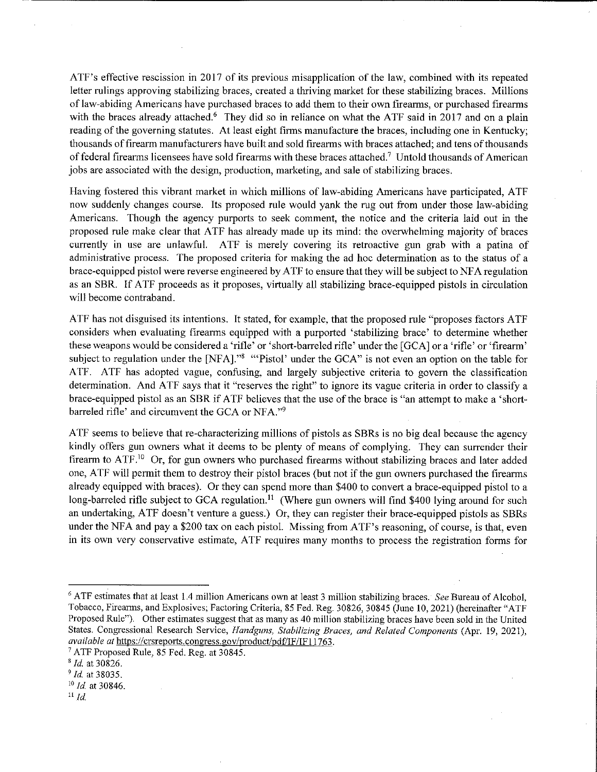ATF's effective rescission in 2017 of its previous misapplication of the law, combined with its repeated letter rulings approving stabilizing braces, created a thriving market for these stabilizing braces. Millions of law-abiding Americans have purchased braces to add them to their own firearms, or purchased firearms with the braces already attached.<sup>6</sup> They did so in reliance on what the ATF said in 2017 and on a plain reading of the governing statutes. At least eight firms manufacture the braces, including one in Kentucky; thousands of firearm manufacturers have built and sold firearms with braces attached; and tens of thousands of federal firearms licensees have sold firearms with these braces attached.<sup>7</sup> Untold thousands of American jobs are associated with the design, production, marketing, and sale of stabilizing braces.

Having fostered this vibrant market in which millions of law-abiding Americans have participated, A TF now suddenly changes course. Its proposed rule would yank the rug out from under those law-abiding Americans. Though the agency purports to seek comment, the notice and the criteria laid out in the proposed rule make clear that ATF has already made up its mind: the overwhelming majority of braces currently in use are unlawful. A TF is merely covering its retroactive gun grab with a patina of administrative process. The proposed criteria for making the ad hoc determination as to the status of a brace-equipped pistol were reverse engineered by ATF to ensure that they will be subject to NF A regulation as an SBR. If ATF proceeds as it proposes, virtually all stabilizing brace-equipped pistols in circulation will become contraband.

ATF has not disguised its intentions. It stated, for example, that the proposed rule "proposes factors ATF considers when evaluating firearms equipped with a purported 'stabilizing brace' to determine whether these weapons would be considered a 'rifle' or 'short-barreled rifle' under the [GCA] or a 'rifle' or 'firearm' subject to regulation under the [NFA]."<sup>8</sup> "Pistol' under the GCA" is not even an option on the table for A TF. ATF has adopted vague, confusing, and largely subjective criteria to govern the classification determination. And ATF says that it "reserves the right" to ignore its vague criteria in order to classify a brace-equipped pistol as an SBR if ATF believes that the use of the brace is "an attempt to make a 'shortbarreled rifle' and circumvent the GCA or NFA."9

A TF seems to believe that re-characterizing millions of pistols as SBRs is no big deal because the agency kindly offers gun owners what it deems to be plenty of means of complying. They can surrender their firearm to ATF.<sup>10</sup> Or, for gun owners who purchased firearms without stabilizing braces and later added one, A TF will permit them to destroy their pistol braces (but not if the gun owners purchased the firearms already equipped with braces). Or they can spend more than \$400 to convert a brace-equipped pistol to a long-barreled rifle subject to GCA regulation.<sup>11</sup> (Where gun owners will find \$400 lying around for such an undertaking, ATF doesn't venture a guess.) Or, they can register their brace-equipped pistols as SBRs under the NFA and pay a \$200 tax on each pistol. Missing from ATF's reasoning, of course, is that, even in its own very conservative estimate, ATF requires many months to process the registration forms for

<sup>&</sup>lt;sup>6</sup> ATF estimates that at least 1.4 million Americans own at least 3 million stabilizing braces. See Bureau of Alcohol, Tobacco, Firearms, and Explosives; Factoring Criteria, 85 Fed. Reg. 30826, 30845 (June 10, 2021) (hereinafter "ATF Proposed Rule"). Other estimates suggest that as many as 40 million stabilizing braces have been sold in the United States. Congressional Research Service, *Handguns, Stabilizing Braces, and Related Components* (Apr. 19, 2021), *available at* https://crsreports.congress.gov/product/pd£'IF/IF 11763.

<sup>7</sup> ATF Proposed Rule, 85 Fed. Reg. at 30845.

<sup>8</sup>*Id.* at 30826.

<sup>9</sup>*Id.* at 38035.

<sup>10</sup>*Id* at 30846.

 $^{11}$  *Id.*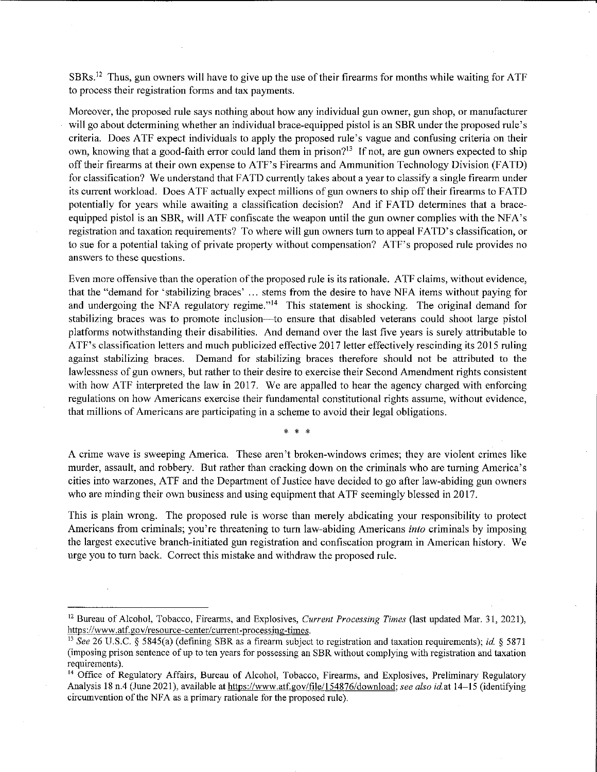SBRs.12 Thus, gun owners will have to give up the use of their firearms for months while waiting for ATF to process their registration forms and tax payments.

Moreover, the proposed rule says nothing about how any individual gun owner, gun shop, or manufacturer will go about determining whether an individual brace-equipped pistol is an SBR under the proposed rule's criteria. Does ATF expect individuals to apply the proposed rule's vague and confusing criteria on their own, knowing that a good-faith error could land them in prison?<sup>13</sup> If not, are gun owners expected to ship off their firearms at their own expense to ATF's Firearms and Ammunition Technology Division (F ATD) for classification? We understand that FATD currently takes about a year to classify a single firearm under its current workload. Does ATF actually expect millions of gun owners to ship off their firearms to FATD potentially for years while awaiting a classification decision? And if FATD determines that a braceequipped pistol is an SBR, will ATF confiscate the weapon until the gun owner complies with the NFA's registration and taxation requirements? To where will gun owners tum to appeal FA TD's classification, or to sue for a potential taking of private property without compensation? ATF's proposed rule provides no answers to these questions.

Even more offensive than the operation of the proposed rule is its rationale. ATF claims, without evidence, that the "demand for 'stabilizing braces' ... stems from the desire to have NFA items without paying for and undergoing the NFA regulatory regime."<sup>14</sup> This statement is shocking. The original demand for stabilizing braces was to promote inclusion—to ensure that disabled veterans could shoot large pistol platforms notwithstanding their disabilities. And demand over the last five years is surely attributable to ATF's classification letters and much publicized effective 2017 letter effectively rescinding its 2015 ruling against stabilizing braces. Demand for stabilizing braces therefore should not be attributed to the lawlessness of gun owners, but rather to their desire to exercise their Second Amendment rights consistent with how ATF interpreted the law in 2017. We are appalled to hear the agency charged with enforcing regulations on how Americans exercise their fundamental constitutional rights assume, without evidence, that millions of Americans are participating in a scheme to avoid their legal obligations.

 $\star$ 

A crime wave is sweeping America. These aren't broken-windows crimes; they are violent crimes like murder, assault, and robbery. But rather than cracking down on the criminals who are turning America's cities into warzones, ATF and the Department of Justice have decided to go after law-abiding gun owners who are minding their own business and using equipment that ATF seemingly blessed in 2017.

This is plain wrong. The proposed rule is worse than merely abdicating your responsibility to protect Americans from criminals; you're threatening to turn law-abiding Americans *into* criminals by imposing the largest executive branch-initiated gun registration and confiscation program in American history. We urge you to turn back. Correct this mistake and withdraw the proposed rule.

<sup>12</sup> Bureau of Alcohol, Tobacco, Firearms, and Explosives, *Current Processing Times* (last updated Mar. 31, 2021), **https:/ /www.atf.gov/resource-center/ current-processing-times.** 

<sup>13</sup> See 26 U.S.C. § 5845(a) (defining SBR as a firearm subject to registration and taxation requirements); *id.* § 5871 (imposing prison sentence of up to ten years for possessing an SBR without complying with registration and taxation requirements).

<sup>14</sup> Office of Regulatory Affairs, Bureau of Alcohol, Tobacco, Firearms, and Explosives, Preliminary Regulatory Analysis 18 n.4 (June 2021 ), available at https://www.atf.gov/file/l 54876/download; *see also id.* at 14-15 (identifying circumvention of the NFA as a primary rationale for the proposed rule).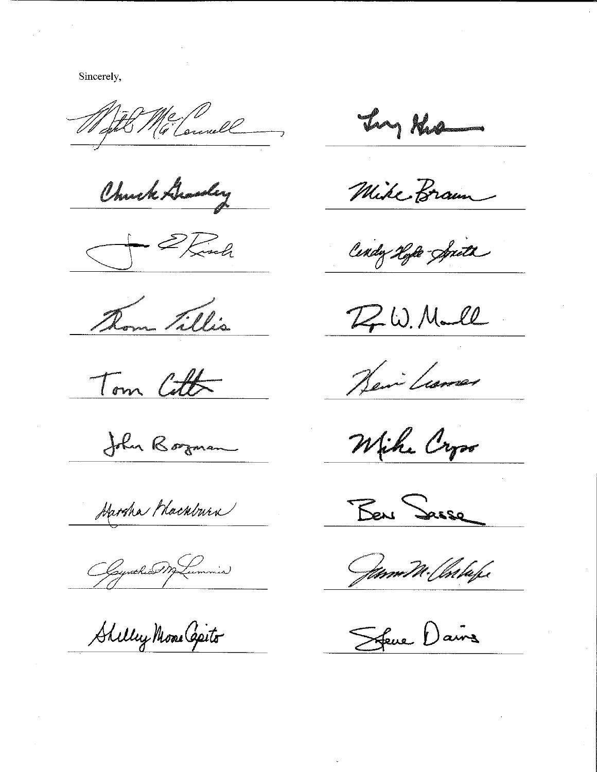Sincerely,

With Milonnell

Chuck Gradey

S Elinh

Thom Tillis

Tom Cott

John Borman

Harsha Mackburn

Ogynthio Montemmin

Shilley Mone Capito

Ing Kro

Mike Braun

Cindy Hyle-Spith

 $Z$ W. Mall

Heim Learnes

Wiche Cryso

Ben Sasse

Jam W. Chilape

Sfeue Daine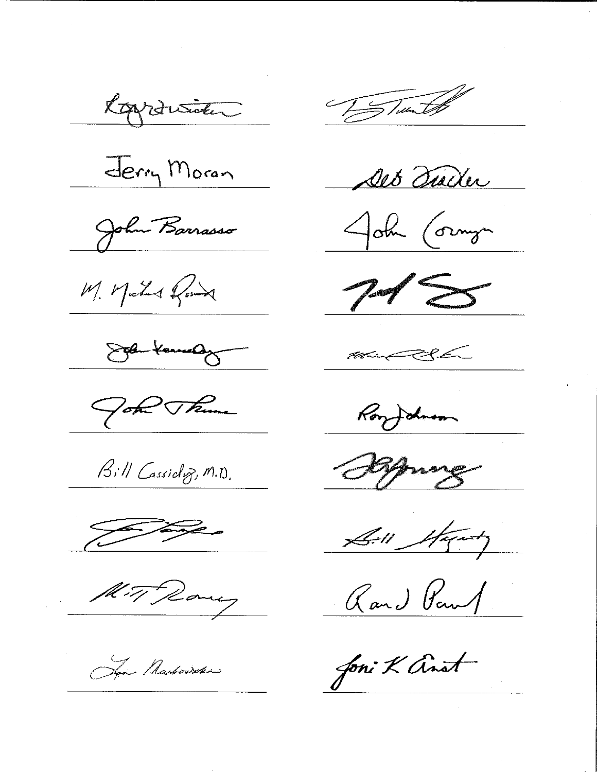Roydusider

Jerry Moran

John Barrasso

M. Mater Road

Solen Kannedy

Got Theme

Bill Cassidoz, M.D.

 $\begin{picture}(120,17) \put(0,0){\line(1,0){15}} \put(15,0){\line(1,0){15}} \put(15,0){\line(1,0){15}} \put(15,0){\line(1,0){15}} \put(15,0){\line(1,0){15}} \put(15,0){\line(1,0){15}} \put(15,0){\line(1,0){15}} \put(15,0){\line(1,0){15}} \put(15,0){\line(1,0){15}} \put(15,0){\line(1,0){15}} \put(15,0){\line(1,0){15}} \put(15,0){\line($ 

Mit Rany

Spa Marbowske

To Tues to

Det Turker

John Cornyn

 $745$ 

 $\begin{picture}(20,10) \put(0,0){\vector(1,0){30}} \put(15,0){\vector(1,0){30}} \put(15,0){\vector(1,0){30}} \put(15,0){\vector(1,0){30}} \put(15,0){\vector(1,0){30}} \put(15,0){\vector(1,0){30}} \put(15,0){\vector(1,0){30}} \put(15,0){\vector(1,0){30}} \put(15,0){\vector(1,0){30}} \put(15,0){\vector(1,0){30}} \put(15,0){\vector(1,0){30}} \put(15,0){\vector(1$ 

Ronfolker

Brung

Sill Starty

Rand Paul

Joni K anot